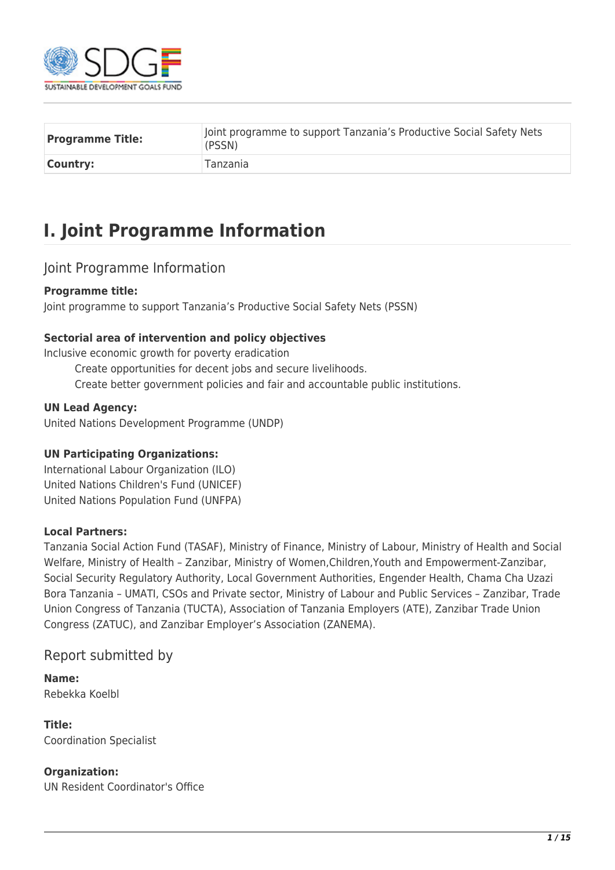

| <b>Programme Title:</b> | Joint programme to support Tanzania's Productive Social Safety Nets<br>(PSSN) |
|-------------------------|-------------------------------------------------------------------------------|
| Country:                | <b>Tanzania</b>                                                               |

## **I. Joint Programme Information**

#### Joint Programme Information

#### **Programme title:**

Joint programme to support Tanzania's Productive Social Safety Nets (PSSN)

#### **Sectorial area of intervention and policy objectives**

Inclusive economic growth for poverty eradication

Create opportunities for decent jobs and secure livelihoods. Create better government policies and fair and accountable public institutions.

#### **UN Lead Agency:**

United Nations Development Programme (UNDP)

#### **UN Participating Organizations:**

International Labour Organization (ILO) United Nations Children's Fund (UNICEF) United Nations Population Fund (UNFPA)

#### **Local Partners:**

Tanzania Social Action Fund (TASAF), Ministry of Finance, Ministry of Labour, Ministry of Health and Social Welfare, Ministry of Health – Zanzibar, Ministry of Women,Children,Youth and Empowerment-Zanzibar, Social Security Regulatory Authority, Local Government Authorities, Engender Health, Chama Cha Uzazi Bora Tanzania – UMATI, CSOs and Private sector, Ministry of Labour and Public Services – Zanzibar, Trade Union Congress of Tanzania (TUCTA), Association of Tanzania Employers (ATE), Zanzibar Trade Union Congress (ZATUC), and Zanzibar Employer's Association (ZANEMA).

#### Report submitted by

**Name:**  Rebekka Koelbl

**Title:**  Coordination Specialist

#### **Organization:**

UN Resident Coordinator's Office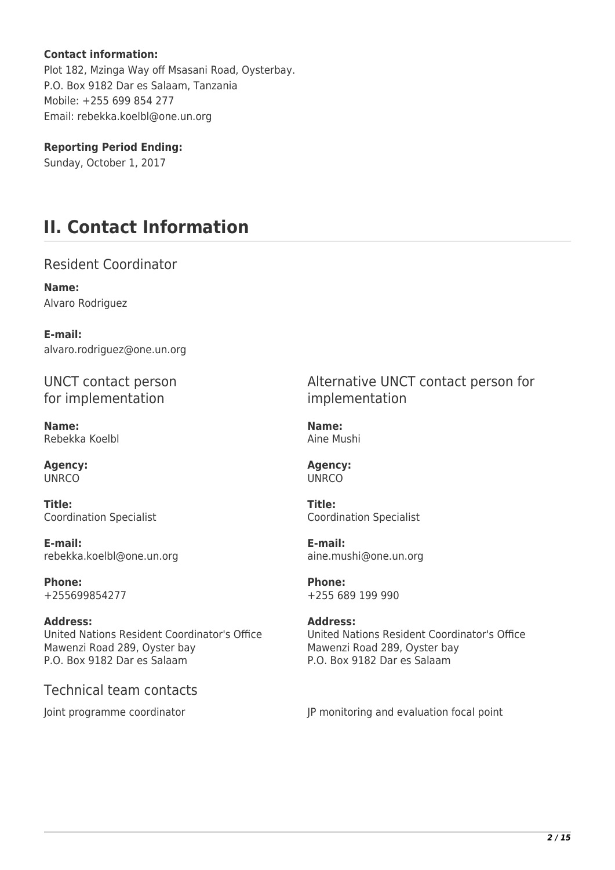#### **Contact information:**

Plot 182, Mzinga Way off Msasani Road, Oysterbay. P.O. Box 9182 Dar es Salaam, Tanzania Mobile: +255 699 854 277 Email: rebekka.koelbl@one.un.org

**Reporting Period Ending:**  Sunday, October 1, 2017

## **II. Contact Information**

Resident Coordinator

**Name:**  Alvaro Rodriguez

**E-mail:**  alvaro.rodriguez@one.un.org

UNCT contact person for implementation

**Name:**  Rebekka Koelbl

**Agency: UNRCO** 

**Title:**  Coordination Specialist

**E-mail:**  rebekka.koelbl@one.un.org

**Phone:**  +255699854277

**Address:**  United Nations Resident Coordinator's Office Mawenzi Road 289, Oyster bay P.O. Box 9182 Dar es Salaam

Technical team contacts

Alternative UNCT contact person for implementation

**Name:**  Aine Mushi

**Agency: UNRCO** 

**Title:**  Coordination Specialist

**E-mail:**  aine.mushi@one.un.org

**Phone:**  +255 689 199 990

**Address:**  United Nations Resident Coordinator's Office Mawenzi Road 289, Oyster bay P.O. Box 9182 Dar es Salaam

Joint programme coordinator **JP** monitoring and evaluation focal point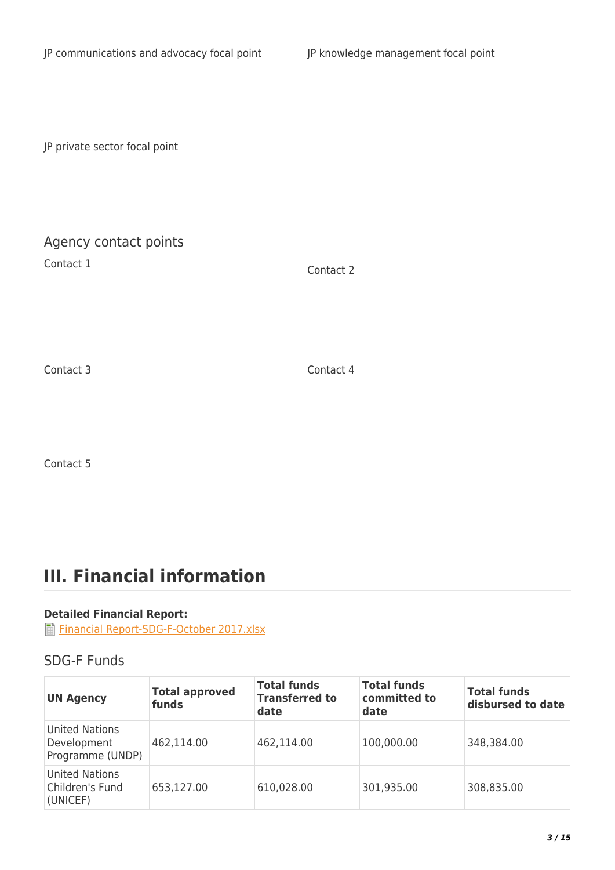JP private sector focal point

### Agency contact points

Contact 1 Contact 2

Contact 3 Contact 4

Contact 5

# **III. Financial information**

#### **Detailed Financial Report:**

[Financial Report-SDG-F-October 2017.xlsx](http://proposals.sdgfund.org/system/files/report-attachments/Financial%20Report-SDG-F-October%202017.xlsx)

#### SDG-F Funds

| <b>UN Agency</b>                                  | <b>Total approved</b><br>funds | <b>Total funds</b><br><b>Transferred to</b><br>date | <b>Total funds</b><br>committed to<br>date | <b>Total funds</b><br>disbursed to date |
|---------------------------------------------------|--------------------------------|-----------------------------------------------------|--------------------------------------------|-----------------------------------------|
| United Nations<br>Development<br>Programme (UNDP) | 462,114.00                     | 462,114.00                                          | 100,000.00                                 | 348,384.00                              |
| United Nations<br>Children's Fund<br>(UNICEF)     | 653,127.00                     | 610,028.00                                          | 301,935.00                                 | 308,835.00                              |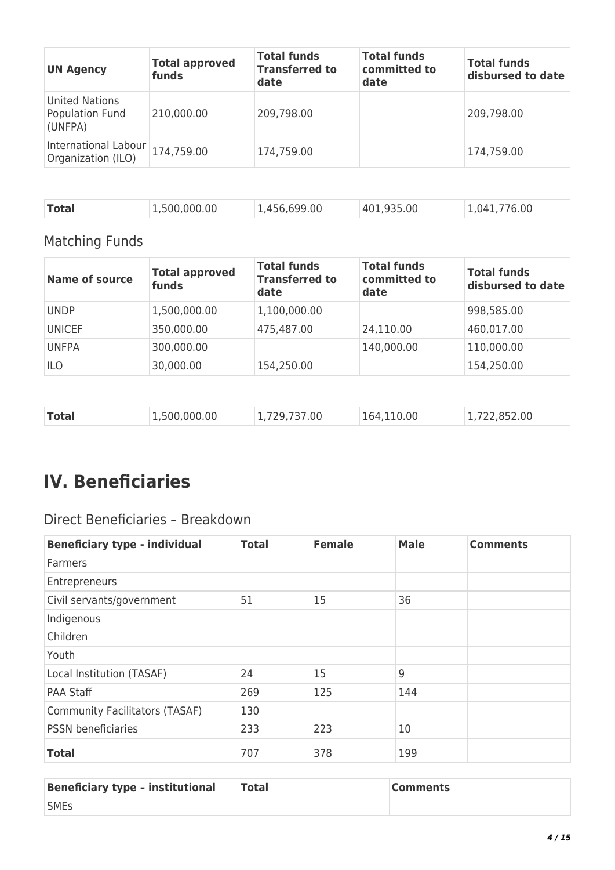| <b>UN Agency</b>                                    | <b>Total approved</b><br>funds | <b>Total funds</b><br><b>Transferred to</b><br>date | <b>Total funds</b><br>committed to<br>date | <b>Total funds</b><br>disbursed to date |
|-----------------------------------------------------|--------------------------------|-----------------------------------------------------|--------------------------------------------|-----------------------------------------|
| <b>United Nations</b><br>Population Fund<br>(UNFPA) | 210,000.00                     | 209,798.00                                          |                                            | 209,798.00                              |
| International Labour<br>Organization (ILO)          | 174,759.00                     | 174,759.00                                          |                                            | 174,759.00                              |

|  | <b>Total</b> | 1,500,000.00 | 1,456,699.00 | 401,935.00 | 1,041,776.00 |
|--|--------------|--------------|--------------|------------|--------------|
|--|--------------|--------------|--------------|------------|--------------|

### Matching Funds

| <b>Name of source</b> | <b>Total approved</b><br>funds | <b>Total funds</b><br><b>Transferred to</b><br>date | <b>Total funds</b><br>committed to<br>date | <b>Total funds</b><br>disbursed to date |
|-----------------------|--------------------------------|-----------------------------------------------------|--------------------------------------------|-----------------------------------------|
| <b>UNDP</b>           | 1,500,000.00                   | 1,100,000.00                                        |                                            | 998,585.00                              |
| <b>UNICEF</b>         | 350,000.00                     | 475,487.00                                          | 24,110.00                                  | 460,017.00                              |
| <b>UNFPA</b>          | 300,000.00                     |                                                     | 140,000.00                                 | 110,000.00                              |
| ILO                   | 30,000.00                      | 154,250.00                                          |                                            | 154,250.00                              |

| <b>Total</b><br>1,722,852.00<br>164,110.00<br>1,500,000.00<br>1,729,737.00 |
|----------------------------------------------------------------------------|
|----------------------------------------------------------------------------|

# **IV. Beneficiaries**

### Direct Beneficiaries – Breakdown

| <b>Beneficiary type - individual</b> | <b>Total</b> | <b>Female</b> | <b>Male</b> | <b>Comments</b> |
|--------------------------------------|--------------|---------------|-------------|-----------------|
| <b>Farmers</b>                       |              |               |             |                 |
| Entrepreneurs                        |              |               |             |                 |
| Civil servants/government            | 51           | 15            | 36          |                 |
| Indigenous                           |              |               |             |                 |
| Children                             |              |               |             |                 |
| Youth                                |              |               |             |                 |
| Local Institution (TASAF)            | 24           | 15            | 9           |                 |
| <b>PAA Staff</b>                     | 269          | 125           | 144         |                 |
| Community Facilitators (TASAF)       | 130          |               |             |                 |
| <b>PSSN</b> beneficiaries            | 233          | 223           | 10          |                 |
| <b>Total</b>                         | 707          | 378           | 199         |                 |

| <b>Beneficiary type - institutional</b> | <b>Total</b> | <b>Comments</b> |
|-----------------------------------------|--------------|-----------------|
| <b>SMEs</b>                             |              |                 |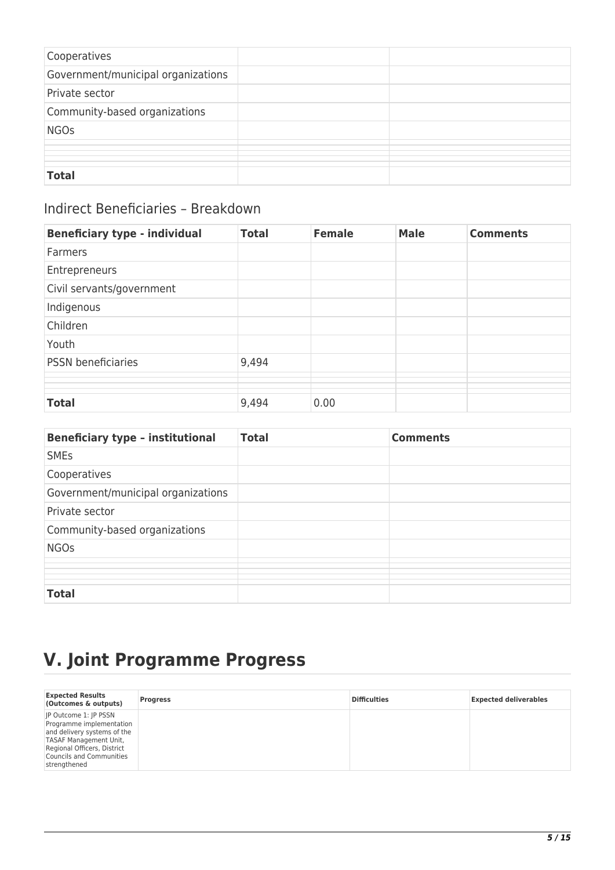| Cooperatives                       |  |
|------------------------------------|--|
| Government/municipal organizations |  |
| Private sector                     |  |
| Community-based organizations      |  |
| <b>NGOs</b>                        |  |
|                                    |  |
|                                    |  |
| <b>Total</b>                       |  |

### Indirect Beneficiaries – Breakdown

| <b>Beneficiary type - individual</b> | <b>Total</b> | <b>Female</b> | <b>Male</b> | <b>Comments</b> |
|--------------------------------------|--------------|---------------|-------------|-----------------|
| <b>Farmers</b>                       |              |               |             |                 |
| Entrepreneurs                        |              |               |             |                 |
| Civil servants/government            |              |               |             |                 |
| Indigenous                           |              |               |             |                 |
| Children                             |              |               |             |                 |
| Youth                                |              |               |             |                 |
| <b>PSSN</b> beneficiaries            | 9,494        |               |             |                 |
|                                      |              |               |             |                 |
|                                      |              |               |             |                 |
| <b>Total</b>                         | 9,494        | 0.00          |             |                 |

| <b>Beneficiary type - institutional</b> | <b>Total</b> | <b>Comments</b> |
|-----------------------------------------|--------------|-----------------|
| <b>SMEs</b>                             |              |                 |
| Cooperatives                            |              |                 |
| Government/municipal organizations      |              |                 |
| Private sector                          |              |                 |
| Community-based organizations           |              |                 |
| <b>NGOs</b>                             |              |                 |
|                                         |              |                 |
|                                         |              |                 |
| <b>Total</b>                            |              |                 |

# **V. Joint Programme Progress**

| <b>Expected Results</b><br>(Outcomes & outputs)                                                                                                                                              | <b>Progress</b> | <b>Difficulties</b> | <b>Expected deliverables</b> |
|----------------------------------------------------------------------------------------------------------------------------------------------------------------------------------------------|-----------------|---------------------|------------------------------|
| IP Outcome 1: IP PSSN<br>Programme implementation<br>and delivery systems of the<br>TASAF Management Unit,<br>Regional Officers, District<br><b>Councils and Communities</b><br>strengthened |                 |                     |                              |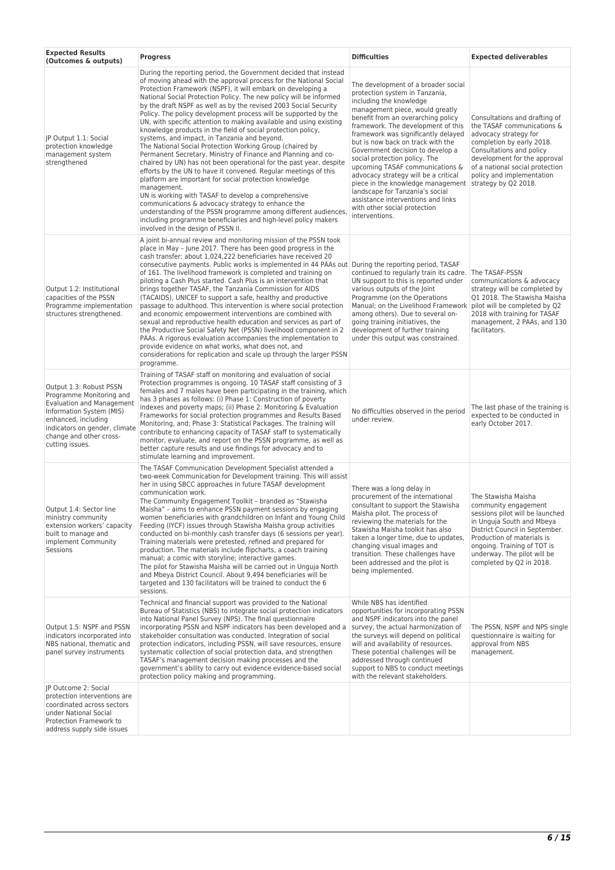| <b>Expected Results</b><br>(Outcomes & outputs)                                                                                                                                                                           | <b>Progress</b>                                                                                                                                                                                                                                                                                                                                                                                                                                                                                                                                                                                                                                                                                                                                                                                                                                                                                                                                                                                                                                                                                                                                                                                                                             | <b>Difficulties</b>                                                                                                                                                                                                                                                                                                                                                                                                                                                                                                                                                                                                              | <b>Expected deliverables</b>                                                                                                                                                                                                                                          |
|---------------------------------------------------------------------------------------------------------------------------------------------------------------------------------------------------------------------------|---------------------------------------------------------------------------------------------------------------------------------------------------------------------------------------------------------------------------------------------------------------------------------------------------------------------------------------------------------------------------------------------------------------------------------------------------------------------------------------------------------------------------------------------------------------------------------------------------------------------------------------------------------------------------------------------------------------------------------------------------------------------------------------------------------------------------------------------------------------------------------------------------------------------------------------------------------------------------------------------------------------------------------------------------------------------------------------------------------------------------------------------------------------------------------------------------------------------------------------------|----------------------------------------------------------------------------------------------------------------------------------------------------------------------------------------------------------------------------------------------------------------------------------------------------------------------------------------------------------------------------------------------------------------------------------------------------------------------------------------------------------------------------------------------------------------------------------------------------------------------------------|-----------------------------------------------------------------------------------------------------------------------------------------------------------------------------------------------------------------------------------------------------------------------|
| JP Output 1.1: Social<br>protection knowledge<br>management system<br>strengthened                                                                                                                                        | During the reporting period, the Government decided that instead<br>of moving ahead with the approval process for the National Social<br>Protection Framework (NSPF), it will embark on developing a<br>National Social Protection Policy. The new policy will be informed<br>by the draft NSPF as well as by the revised 2003 Social Security<br>Policy. The policy development process will be supported by the<br>UN, with specific attention to making available and using existing<br>knowledge products in the field of social protection policy,<br>systems, and impact, in Tanzania and beyond.<br>The National Social Protection Working Group (chaired by<br>Permanent Secretary, Ministry of Finance and Planning and co-<br>chaired by UN) has not been operational for the past year, despite<br>efforts by the UN to have it convened. Regular meetings of this<br>platform are important for social protection knowledge<br>management.<br>UN is working with TASAF to develop a comprehensive<br>communications & advocacy strategy to enhance the<br>understanding of the PSSN programme among different audiences<br>including programme beneficiaries and high-level policy makers<br>involved in the design of PSSN II. | The development of a broader social<br>protection system in Tanzania,<br>including the knowledge<br>management piece, would greatly<br>benefit from an overarching policy<br>framework. The development of this<br>framework was significantly delayed<br>but is now back on track with the<br>Government decision to develop a<br>social protection policy. The<br>upcoming TASAF communications &<br>advocacy strategy will be a critical<br>piece in the knowledge management strategy by Q2 2018.<br>landscape for Tanzania's social<br>assistance interventions and links<br>with other social protection<br>interventions. | Consultations and drafting of<br>the TASAF communications &<br>advocacy strategy for<br>completion by early 2018.<br>Consultations and policy<br>development for the approval<br>of a national social protection<br>policy and implementation                         |
| Output 1.2: Institutional<br>capacities of the PSSN<br>Programme implementation<br>structures strengthened.                                                                                                               | A joint bi-annual review and monitoring mission of the PSSN took<br>place in May - June 2017. There has been good progress in the<br>cash transfer: about 1,024,222 beneficiaries have received 20<br>consecutive payments. Public works is implemented in 44 PAAs out During the reporting period, TASAF<br>of 161. The livelihood framework is completed and training on<br>piloting a Cash Plus started. Cash Plus is an intervention that<br>brings together TASAF, the Tanzania Commission for AIDS<br>(TACAIDS), UNICEF to support a safe, healthy and productive<br>passage to adulthood. This intervention is where social protection<br>and economic empowerment interventions are combined with<br>sexual and reproductive health education and services as part of<br>the Productive Social Safety Net (PSSN) livelihood component in 2<br>PAAs. A rigorous evaluation accompanies the implementation to<br>provide evidence on what works, what does not, and<br>considerations for replication and scale up through the larger PSSN<br>programme.                                                                                                                                                                              | continued to regularly train its cadre. The TASAF-PSSN<br>UN support to this is reported under<br>various outputs of the Joint<br>Programme (on the Operations<br>Manual; on the Livelihood Framework<br>among others). Due to several on-<br>going training initiatives, the<br>development of further training<br>under this output was constrained.                                                                                                                                                                                                                                                                           | communications & advocacy<br>strategy will be completed by<br>Q1 2018. The Stawisha Maisha<br>pilot will be completed by Q2<br>2018 with training for TASAF<br>management, 2 PAAs, and 130<br>facilitators.                                                           |
| Output 1.3: Robust PSSN<br>Programme Monitoring and<br><b>Evaluation and Management</b><br>Information System (MIS)<br>enhanced, including<br>indicators on gender, climate<br>change and other cross-<br>cutting issues. | Training of TASAF staff on monitoring and evaluation of social<br>Protection programmes is ongoing. 10 TASAF staff consisting of 3<br>females and 7 males have been participating in the training, which<br>has 3 phases as follows: (i) Phase 1: Construction of poverty<br>indexes and poverty maps; (ii) Phase 2: Monitoring & Evaluation<br>Frameworks for social protection programmes and Results Based<br>Monitoring, and; Phase 3: Statistical Packages. The training will<br>contribute to enhancing capacity of TASAF staff to systematically<br>monitor, evaluate, and report on the PSSN programme, as well as<br>better capture results and use findings for advocacy and to<br>stimulate learning and improvement.                                                                                                                                                                                                                                                                                                                                                                                                                                                                                                            | No difficulties observed in the period<br>under review.                                                                                                                                                                                                                                                                                                                                                                                                                                                                                                                                                                          | The last phase of the training is<br>expected to be conducted in<br>early October 2017.                                                                                                                                                                               |
| Output 1.4: Sector line<br>ministry community<br>extension workers' capacity<br>built to manage and<br>implement Community<br>Sessions                                                                                    | The TASAF Communication Development Specialist attended a<br>two-week Communication for Development training. This will assist<br>her in using SBCC approaches in future TASAF development<br>communication work.<br>The Community Engagement Toolkit - branded as "Stawisha<br>Maisha" - aims to enhance PSSN payment sessions by engaging<br>women beneficiaries with grandchildren on Infant and Young Child<br>Feeding (IYCF) issues through Stawisha Maisha group activities<br>conducted on bi-monthly cash transfer days (6 sessions per year).<br>Training materials were pretested, refined and prepared for<br>production. The materials include flipcharts, a coach training<br>manual; a comic with storyline; interactive games.<br>The pilot for Stawisha Maisha will be carried out in Unguja North<br>and Mbeya District Council. About 9,494 beneficiaries will be<br>targeted and 130 facilitators will be trained to conduct the 6<br>sessions.                                                                                                                                                                                                                                                                          | There was a long delay in<br>procurement of the international<br>consultant to support the Stawisha<br>Maisha pilot. The process of<br>reviewing the materials for the<br>Stawisha Maisha toolkit has also<br>taken a longer time, due to updates,<br>changing visual images and<br>transition. These challenges have<br>been addressed and the pilot is<br>being implemented.                                                                                                                                                                                                                                                   | The Stawisha Maisha<br>community engagement<br>sessions pilot will be launched<br>in Unguja South and Mbeya<br>District Council in September.<br>Production of materials is<br>ongoing. Training of TOT is<br>underway. The pilot will be<br>completed by Q2 in 2018. |
| Output 1.5: NSPF and PSSN<br>indicators incorporated into<br>NBS national, thematic and<br>panel survey instruments                                                                                                       | Technical and financial support was provided to the National<br>Bureau of Statistics (NBS) to integrate social protection indicators<br>into National Panel Survey (NPS). The final questionnaire<br>incorporating PSSN and NSPF indicators has been developed and a<br>stakeholder consultation was conducted. Integration of social<br>protection indicators, including PSSN, will save resources, ensure<br>systematic collection of social protection data, and strengthen<br>TASAF's management decision making processes and the<br>government's ability to carry out evidence evidence-based social<br>protection policy making and programming.                                                                                                                                                                                                                                                                                                                                                                                                                                                                                                                                                                                     | While NBS has identified<br>opportunities for incorporating PSSN<br>and NSPF indicators into the panel<br>survey, the actual harmonization of<br>the surveys will depend on political<br>will and availability of resources.<br>These potential challenges will be<br>addressed through continued<br>support to NBS to conduct meetings<br>with the relevant stakeholders.                                                                                                                                                                                                                                                       | The PSSN, NSPF and NPS single<br>questionnaire is waiting for<br>approval from NBS<br>management.                                                                                                                                                                     |
| JP Outcome 2: Social<br>protection interventions are<br>coordinated across sectors<br>under National Social<br>Protection Framework to<br>address supply side issues                                                      |                                                                                                                                                                                                                                                                                                                                                                                                                                                                                                                                                                                                                                                                                                                                                                                                                                                                                                                                                                                                                                                                                                                                                                                                                                             |                                                                                                                                                                                                                                                                                                                                                                                                                                                                                                                                                                                                                                  |                                                                                                                                                                                                                                                                       |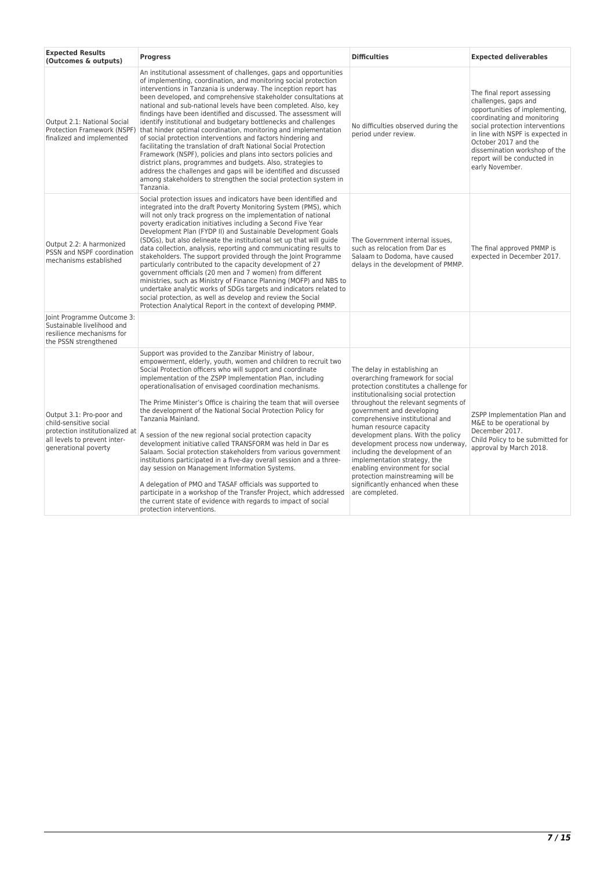| <b>Expected Results</b><br>(Outcomes & outputs)                                                                                               | <b>Progress</b>                                                                                                                                                                                                                                                                                                                                                                                                                                                                                                                                                                                                                                                                                                                                                                                                                                                                                                                                                                                                                      | <b>Difficulties</b><br><b>Expected deliverables</b>                                                                                                                                                                                                                                                                                                                                                                                                                                                                                                             |                                                                                                                                                                                                                                                                                                       |
|-----------------------------------------------------------------------------------------------------------------------------------------------|--------------------------------------------------------------------------------------------------------------------------------------------------------------------------------------------------------------------------------------------------------------------------------------------------------------------------------------------------------------------------------------------------------------------------------------------------------------------------------------------------------------------------------------------------------------------------------------------------------------------------------------------------------------------------------------------------------------------------------------------------------------------------------------------------------------------------------------------------------------------------------------------------------------------------------------------------------------------------------------------------------------------------------------|-----------------------------------------------------------------------------------------------------------------------------------------------------------------------------------------------------------------------------------------------------------------------------------------------------------------------------------------------------------------------------------------------------------------------------------------------------------------------------------------------------------------------------------------------------------------|-------------------------------------------------------------------------------------------------------------------------------------------------------------------------------------------------------------------------------------------------------------------------------------------------------|
| Output 2.1: National Social<br>Protection Framework (NSPF)<br>finalized and implemented                                                       | An institutional assessment of challenges, gaps and opportunities<br>of implementing, coordination, and monitoring social protection<br>interventions in Tanzania is underway. The inception report has<br>been developed, and comprehensive stakeholder consultations at<br>national and sub-national levels have been completed. Also, key<br>findings have been identified and discussed. The assessment will<br>identify institutional and budgetary bottlenecks and challenges<br>that hinder optimal coordination, monitoring and implementation<br>of social protection interventions and factors hindering and<br>facilitating the translation of draft National Social Protection<br>Framework (NSPF), policies and plans into sectors policies and<br>district plans, programmes and budgets. Also, strategies to<br>address the challenges and gaps will be identified and discussed<br>among stakeholders to strengthen the social protection system in<br>Tanzania.                                                     | No difficulties observed during the<br>period under review.                                                                                                                                                                                                                                                                                                                                                                                                                                                                                                     | The final report assessing<br>challenges, gaps and<br>opportunities of implementing,<br>coordinating and monitoring<br>social protection interventions<br>in line with NSPF is expected in<br>October 2017 and the<br>dissemination workshop of the<br>report will be conducted in<br>early November. |
| Output 2.2: A harmonized<br>PSSN and NSPF coordination<br>mechanisms established                                                              | Social protection issues and indicators have been identified and<br>integrated into the draft Poverty Monitoring System (PMS), which<br>will not only track progress on the implementation of national<br>poverty eradication initiatives including a Second Five Year<br>Development Plan (FYDP II) and Sustainable Development Goals<br>(SDGs), but also delineate the institutional set up that will quide<br>data collection, analysis, reporting and communicating results to<br>stakeholders. The support provided through the Joint Programme<br>particularly contributed to the capacity development of 27<br>government officials (20 men and 7 women) from different<br>ministries, such as Ministry of Finance Planning (MOFP) and NBS to<br>undertake analytic works of SDGs targets and indicators related to<br>social protection, as well as develop and review the Social<br>Protection Analytical Report in the context of developing PMMP.                                                                         | The Government internal issues.<br>such as relocation from Dar es<br>Salaam to Dodoma, have caused<br>delays in the development of PMMP.                                                                                                                                                                                                                                                                                                                                                                                                                        | The final approved PMMP is<br>expected in December 2017.                                                                                                                                                                                                                                              |
| Joint Programme Outcome 3:<br>Sustainable livelihood and<br>resilience mechanisms for<br>the PSSN strengthened                                |                                                                                                                                                                                                                                                                                                                                                                                                                                                                                                                                                                                                                                                                                                                                                                                                                                                                                                                                                                                                                                      |                                                                                                                                                                                                                                                                                                                                                                                                                                                                                                                                                                 |                                                                                                                                                                                                                                                                                                       |
| Output 3.1: Pro-poor and<br>child-sensitive social<br>protection institutionalized at<br>all levels to prevent inter-<br>generational poverty | Support was provided to the Zanzibar Ministry of labour,<br>empowerment, elderly, youth, women and children to recruit two<br>Social Protection officers who will support and coordinate<br>implementation of the ZSPP Implementation Plan, including<br>operationalisation of envisaged coordination mechanisms.<br>The Prime Minister's Office is chairing the team that will oversee<br>the development of the National Social Protection Policy for<br>Tanzania Mainland.<br>A session of the new regional social protection capacity<br>development initiative called TRANSFORM was held in Dar es<br>Salaam. Social protection stakeholders from various government<br>institutions participated in a five-day overall session and a three-<br>day session on Management Information Systems.<br>A delegation of PMO and TASAF officials was supported to<br>participate in a workshop of the Transfer Project, which addressed<br>the current state of evidence with regards to impact of social<br>protection interventions. | The delay in establishing an<br>overarching framework for social<br>protection constitutes a challenge for<br>institutionalising social protection<br>throughout the relevant segments of<br>government and developing<br>comprehensive institutional and<br>human resource capacity<br>development plans. With the policy<br>development process now underway<br>including the development of an<br>implementation strategy, the<br>enabling environment for social<br>protection mainstreaming will be<br>significantly enhanced when these<br>are completed. | ZSPP Implementation Plan and<br>M&E to be operational by<br>December 2017.<br>Child Policy to be submitted for<br>approval by March 2018.                                                                                                                                                             |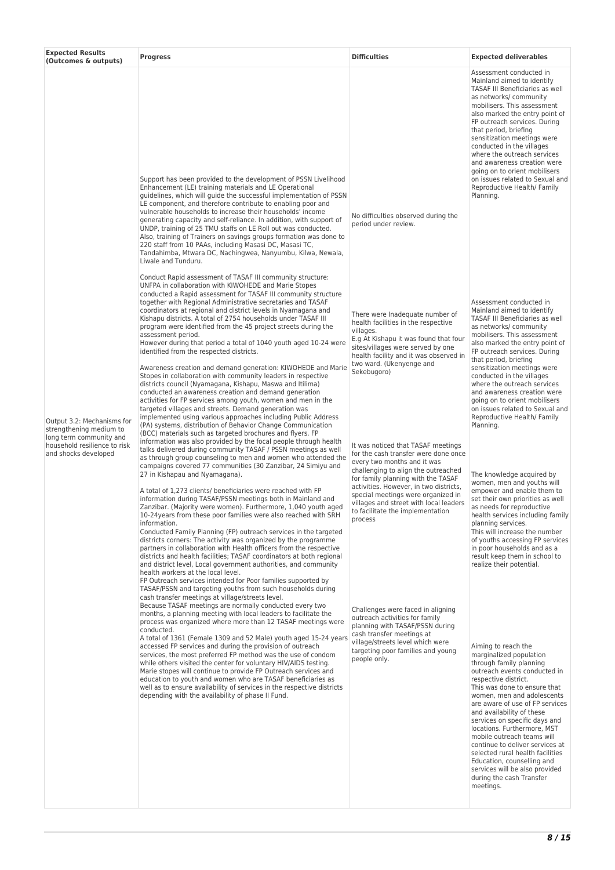| Assessment conducted in<br>Mainland aimed to identify<br>as networks/community<br>mobilisers. This assessment<br>that period, briefing<br>sensitization meetings were<br>conducted in the villages<br>where the outreach services<br>Support has been provided to the development of PSSN Livelihood<br>Enhancement (LE) training materials and LE Operational<br>Reproductive Health/ Family<br>guidelines, which will guide the successful implementation of PSSN<br>Planning.<br>LE component, and therefore contribute to enabling poor and<br>vulnerable households to increase their households' income<br>No difficulties observed during the<br>generating capacity and self-reliance. In addition, with support of<br>period under review.<br>UNDP, training of 25 TMU staffs on LE Roll out was conducted.<br>Also, training of Trainers on savings groups formation was done to<br>220 staff from 10 PAAs, including Masasi DC, Masasi TC,<br>Tandahimba, Mtwara DC, Nachingwea, Nanyumbu, Kilwa, Newala,<br>Liwale and Tunduru.<br>Conduct Rapid assessment of TASAF III community structure:<br>UNFPA in collaboration with KIWOHEDE and Marie Stopes<br>conducted a Rapid assessment for TASAF III community structure<br>together with Regional Administrative secretaries and TASAF<br>Assessment conducted in<br>coordinators at regional and district levels in Nyamagana and<br>Mainland aimed to identify<br>There were Inadequate number of<br>Kishapu districts. A total of 2754 households under TASAF III<br>health facilities in the respective<br>program were identified from the 45 project streets during the<br>as networks/community<br>villages.<br>mobilisers. This assessment<br>assessment period.<br>E.g At Kishapu it was found that four<br>However during that period a total of 1040 youth aged 10-24 were<br>sites/villages were served by one<br>identified from the respected districts.<br>health facility and it was observed in<br>that period, briefing<br>two ward. (Ukenyenge and<br>Awareness creation and demand generation: KIWOHEDE and Marie<br>sensitization meetings were<br>Sekebugoro)<br>Stopes in collaboration with community leaders in respective<br>conducted in the villages<br>districts council (Nyamagana, Kishapu, Maswa and Itilima)<br>where the outreach services<br>conducted an awareness creation and demand generation<br>activities for FP services among youth, women and men in the<br>targeted villages and streets. Demand generation was<br>implemented using various approaches including Public Address<br>Reproductive Health/ Family<br>Output 3.2: Mechanisms for<br>(PA) systems, distribution of Behavior Change Communication<br>Planning.<br>strengthening medium to<br>(BCC) materials such as targeted brochures and flyers. FP<br>long term community and<br>information was also provided by the focal people through health<br>household resilience to risk<br>It was noticed that TASAF meetings<br>talks delivered during community TASAF / PSSN meetings as well<br>and shocks developed<br>for the cash transfer were done once<br>as through group counseling to men and women who attended the<br>every two months and it was<br>campaigns covered 77 communities (30 Zanzibar, 24 Simiyu and<br>challenging to align the outreached<br>The knowledge acquired by<br>27 in Kishapau and Nyamagana).<br>for family planning with the TASAF<br>activities. However, in two districts,<br>A total of 1,273 clients/ beneficiaries were reached with FP<br>special meetings were organized in<br>information during TASAF/PSSN meetings both in Mainland and<br>villages and street with local leaders<br>Zanzibar. (Majority were women). Furthermore, 1,040 youth aged<br>as needs for reproductive<br>to facilitate the implementation<br>10-24 years from these poor families were also reached with SRH<br>process<br>planning services.<br>information.<br>Conducted Family Planning (FP) outreach services in the targeted<br>districts corners: The activity was organized by the programme<br>partners in collaboration with Health officers from the respective<br>in poor households and as a<br>districts and health facilities; TASAF coordinators at both regional<br>and district level, Local government authorities, and community<br>realize their potential.<br>health workers at the local level.<br>FP Outreach services intended for Poor families supported by<br>TASAF/PSSN and targeting youths from such households during<br>cash transfer meetings at village/streets level.<br>Because TASAF meetings are normally conducted every two<br>Challenges were faced in aligning<br>months, a planning meeting with local leaders to facilitate the<br>outreach activities for family<br>process was organized where more than 12 TASAF meetings were<br>planning with TASAF/PSSN during<br>conducted.<br>cash transfer meetings at<br>A total of 1361 (Female 1309 and 52 Male) youth aged 15-24 years<br>village/streets level which were<br>accessed FP services and during the provision of outreach<br>Aiming to reach the<br>targeting poor families and young<br>services, the most preferred FP method was the use of condom<br>marginalized population<br>people only.<br>while others visited the center for voluntary HIV/AIDS testing.<br>through family planning<br>Marie stopes will continue to provide FP Outreach services and<br>education to youth and women who are TASAF beneficiaries as<br>respective district.<br>well as to ensure availability of services in the respective districts<br>depending with the availability of phase II Fund.<br>and availability of these<br>locations. Furthermore, MST | <b>Expected Results</b><br>(Outcomes & outputs) | <b>Progress</b> | <b>Difficulties</b> | <b>Expected deliverables</b>                                                                                                                                                                                                                                                                                                                                                                                                                                                                                                                                                                                                                                                                                                                           |
|-------------------------------------------------------------------------------------------------------------------------------------------------------------------------------------------------------------------------------------------------------------------------------------------------------------------------------------------------------------------------------------------------------------------------------------------------------------------------------------------------------------------------------------------------------------------------------------------------------------------------------------------------------------------------------------------------------------------------------------------------------------------------------------------------------------------------------------------------------------------------------------------------------------------------------------------------------------------------------------------------------------------------------------------------------------------------------------------------------------------------------------------------------------------------------------------------------------------------------------------------------------------------------------------------------------------------------------------------------------------------------------------------------------------------------------------------------------------------------------------------------------------------------------------------------------------------------------------------------------------------------------------------------------------------------------------------------------------------------------------------------------------------------------------------------------------------------------------------------------------------------------------------------------------------------------------------------------------------------------------------------------------------------------------------------------------------------------------------------------------------------------------------------------------------------------------------------------------------------------------------------------------------------------------------------------------------------------------------------------------------------------------------------------------------------------------------------------------------------------------------------------------------------------------------------------------------------------------------------------------------------------------------------------------------------------------------------------------------------------------------------------------------------------------------------------------------------------------------------------------------------------------------------------------------------------------------------------------------------------------------------------------------------------------------------------------------------------------------------------------------------------------------------------------------------------------------------------------------------------------------------------------------------------------------------------------------------------------------------------------------------------------------------------------------------------------------------------------------------------------------------------------------------------------------------------------------------------------------------------------------------------------------------------------------------------------------------------------------------------------------------------------------------------------------------------------------------------------------------------------------------------------------------------------------------------------------------------------------------------------------------------------------------------------------------------------------------------------------------------------------------------------------------------------------------------------------------------------------------------------------------------------------------------------------------------------------------------------------------------------------------------------------------------------------------------------------------------------------------------------------------------------------------------------------------------------------------------------------------------------------------------------------------------------------------------------------------------------------------------------------------------------------------------------------------------------------------------------------------------------------------------------------------------------------------------------------------------------------------------------------------------------------------------------------------------------------------------------------------------------------------------------------------------------------------------------------------------------------------------------------------------------------------------------------------------------------------------------------------------------------------------------------------------------------------------------------------------------------------------------------------------------------------------------------------------------------------------------------------------------------------------------------------------------------------------------------------------------------------------------------------------|-------------------------------------------------|-----------------|---------------------|--------------------------------------------------------------------------------------------------------------------------------------------------------------------------------------------------------------------------------------------------------------------------------------------------------------------------------------------------------------------------------------------------------------------------------------------------------------------------------------------------------------------------------------------------------------------------------------------------------------------------------------------------------------------------------------------------------------------------------------------------------|
|                                                                                                                                                                                                                                                                                                                                                                                                                                                                                                                                                                                                                                                                                                                                                                                                                                                                                                                                                                                                                                                                                                                                                                                                                                                                                                                                                                                                                                                                                                                                                                                                                                                                                                                                                                                                                                                                                                                                                                                                                                                                                                                                                                                                                                                                                                                                                                                                                                                                                                                                                                                                                                                                                                                                                                                                                                                                                                                                                                                                                                                                                                                                                                                                                                                                                                                                                                                                                                                                                                                                                                                                                                                                                                                                                                                                                                                                                                                                                                                                                                                                                                                                                                                                                                                                                                                                                                                                                                                                                                                                                                                                                                                                                                                                                                                                                                                                                                                                                                                                                                                                                                                                                                                                                                                                                                                                                                                                                                                                                                                                                                                                                                                                                                                                                             |                                                 |                 |                     | TASAF III Beneficiaries as well<br>also marked the entry point of<br>FP outreach services. During<br>and awareness creation were<br>going on to orient mobilisers<br>on issues related to Sexual and                                                                                                                                                                                                                                                                                                                                                                                                                                                                                                                                                   |
| Education, counselling and<br>during the cash Transfer<br>meetings.                                                                                                                                                                                                                                                                                                                                                                                                                                                                                                                                                                                                                                                                                                                                                                                                                                                                                                                                                                                                                                                                                                                                                                                                                                                                                                                                                                                                                                                                                                                                                                                                                                                                                                                                                                                                                                                                                                                                                                                                                                                                                                                                                                                                                                                                                                                                                                                                                                                                                                                                                                                                                                                                                                                                                                                                                                                                                                                                                                                                                                                                                                                                                                                                                                                                                                                                                                                                                                                                                                                                                                                                                                                                                                                                                                                                                                                                                                                                                                                                                                                                                                                                                                                                                                                                                                                                                                                                                                                                                                                                                                                                                                                                                                                                                                                                                                                                                                                                                                                                                                                                                                                                                                                                                                                                                                                                                                                                                                                                                                                                                                                                                                                                                         |                                                 |                 |                     | TASAF III Beneficiaries as well<br>also marked the entry point of<br>FP outreach services. During<br>and awareness creation were<br>going on to orient mobilisers<br>on issues related to Sexual and<br>women, men and youths will<br>empower and enable them to<br>set their own priorities as well<br>health services including family<br>This will increase the number<br>of youths accessing FP services<br>result keep them in school to<br>outreach events conducted in<br>This was done to ensure that<br>women, men and adolescents<br>are aware of use of FP services<br>services on specific days and<br>mobile outreach teams will<br>continue to deliver services at<br>selected rural health facilities<br>services will be also provided |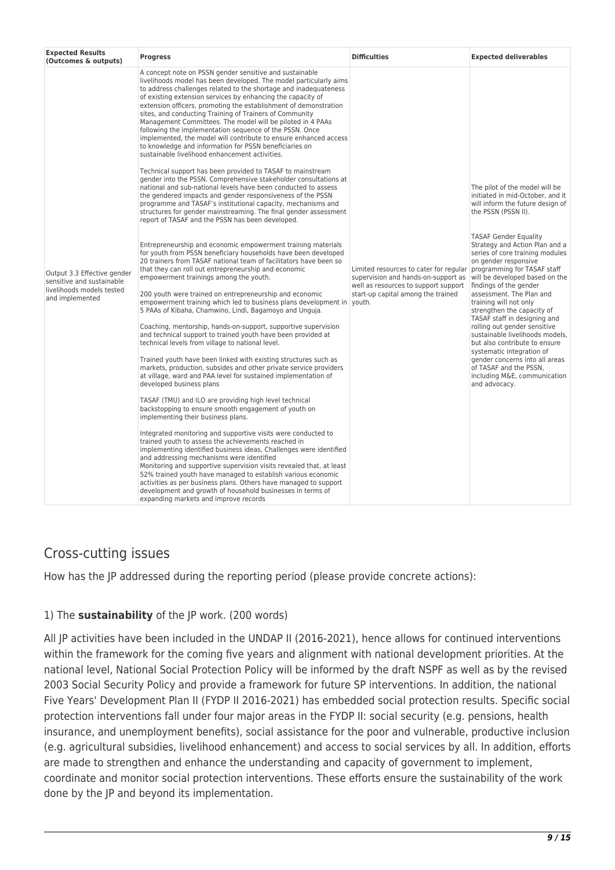| <b>Expected Results</b><br>(Outcomes & outputs)                                                          | <b>Progress</b>                                                                                                                                                                                                                                                                                                                                                                                                                                                                                                                                                                                                                                                                                                                                                                                                                                                                                                                                                                                                                                     | <b>Difficulties</b>                                                                                                                                         | <b>Expected deliverables</b>                                                                                                                                                                                                                                                                                                                                                                                                                                                                                                                                                           |
|----------------------------------------------------------------------------------------------------------|-----------------------------------------------------------------------------------------------------------------------------------------------------------------------------------------------------------------------------------------------------------------------------------------------------------------------------------------------------------------------------------------------------------------------------------------------------------------------------------------------------------------------------------------------------------------------------------------------------------------------------------------------------------------------------------------------------------------------------------------------------------------------------------------------------------------------------------------------------------------------------------------------------------------------------------------------------------------------------------------------------------------------------------------------------|-------------------------------------------------------------------------------------------------------------------------------------------------------------|----------------------------------------------------------------------------------------------------------------------------------------------------------------------------------------------------------------------------------------------------------------------------------------------------------------------------------------------------------------------------------------------------------------------------------------------------------------------------------------------------------------------------------------------------------------------------------------|
| Output 3.3 Effective gender<br>sensitive and sustainable<br>livelihoods models tested<br>and implemented | A concept note on PSSN gender sensitive and sustainable<br>livelihoods model has been developed. The model particularly aims<br>to address challenges related to the shortage and inadequateness<br>of existing extension services by enhancing the capacity of<br>extension officers, promoting the establishment of demonstration<br>sites, and conducting Training of Trainers of Community<br>Management Committees. The model will be piloted in 4 PAAs<br>following the implementation sequence of the PSSN. Once<br>implemented, the model will contribute to ensure enhanced access<br>to knowledge and information for PSSN beneficiaries on<br>sustainable livelihood enhancement activities.                                                                                                                                                                                                                                                                                                                                             |                                                                                                                                                             |                                                                                                                                                                                                                                                                                                                                                                                                                                                                                                                                                                                        |
|                                                                                                          | Technical support has been provided to TASAF to mainstream<br>gender into the PSSN. Comprehensive stakeholder consultations at<br>national and sub-national levels have been conducted to assess<br>the gendered impacts and gender responsiveness of the PSSN<br>programme and TASAF's institutional capacity, mechanisms and<br>structures for gender mainstreaming. The final gender assessment<br>report of TASAF and the PSSN has been developed.                                                                                                                                                                                                                                                                                                                                                                                                                                                                                                                                                                                              |                                                                                                                                                             | The pilot of the model will be<br>initiated in mid-October, and it<br>will inform the future design of<br>the PSSN (PSSN II).                                                                                                                                                                                                                                                                                                                                                                                                                                                          |
|                                                                                                          | Entrepreneurship and economic empowerment training materials<br>for youth from PSSN beneficiary households have been developed<br>20 trainers from TASAF national team of facilitators have been so<br>that they can roll out entrepreneurship and economic<br>empowerment trainings among the youth.<br>200 youth were trained on entrepreneurship and economic<br>empowerment training which led to business plans development in vouth.<br>5 PAAs of Kibaha, Chamwino, Lindi, Bagamoyo and Unguja.<br>Coaching, mentorship, hands-on-support, supportive supervision<br>and technical support to trained youth have been provided at<br>technical levels from village to national level.<br>Trained youth have been linked with existing structures such as<br>markets, production, subsides and other private service providers<br>at village, ward and PAA level for sustained implementation of<br>developed business plans<br>TASAF (TMU) and ILO are providing high level technical<br>backstopping to ensure smooth engagement of youth on | Limited resources to cater for regular<br>supervision and hands-on-support as<br>well as resources to support support<br>start-up capital among the trained | <b>TASAF Gender Equality</b><br>Strategy and Action Plan and a<br>series of core training modules<br>on gender responsive<br>programming for TASAF staff<br>will be developed based on the<br>findings of the gender<br>assessment. The Plan and<br>training will not only<br>strengthen the capacity of<br>TASAF staff in designing and<br>rolling out gender sensitive<br>sustainable livelihoods models,<br>but also contribute to ensure<br>systematic integration of<br>gender concerns into all areas<br>of TASAF and the PSSN,<br>including M&E, communication<br>and advocacy. |
|                                                                                                          | implementing their business plans.<br>Integrated monitoring and supportive visits were conducted to<br>trained youth to assess the achievements reached in<br>implementing identified business ideas, Challenges were identified<br>and addressing mechanisms were identified<br>Monitoring and supportive supervision visits revealed that, at least<br>52% trained youth have managed to establish various economic<br>activities as per business plans. Others have managed to support<br>development and growth of household businesses in terms of<br>expanding markets and improve records                                                                                                                                                                                                                                                                                                                                                                                                                                                    |                                                                                                                                                             |                                                                                                                                                                                                                                                                                                                                                                                                                                                                                                                                                                                        |

### Cross-cutting issues

How has the JP addressed during the reporting period (please provide concrete actions):

#### 1) The **sustainability** of the JP work. (200 words)

All JP activities have been included in the UNDAP II (2016-2021), hence allows for continued interventions within the framework for the coming five years and alignment with national development priorities. At the national level, National Social Protection Policy will be informed by the draft NSPF as well as by the revised 2003 Social Security Policy and provide a framework for future SP interventions. In addition, the national Five Years' Development Plan II (FYDP II 2016-2021) has embedded social protection results. Specific social protection interventions fall under four major areas in the FYDP II: social security (e.g. pensions, health insurance, and unemployment benefits), social assistance for the poor and vulnerable, productive inclusion (e.g. agricultural subsidies, livelihood enhancement) and access to social services by all. In addition, efforts are made to strengthen and enhance the understanding and capacity of government to implement, coordinate and monitor social protection interventions. These efforts ensure the sustainability of the work done by the JP and beyond its implementation.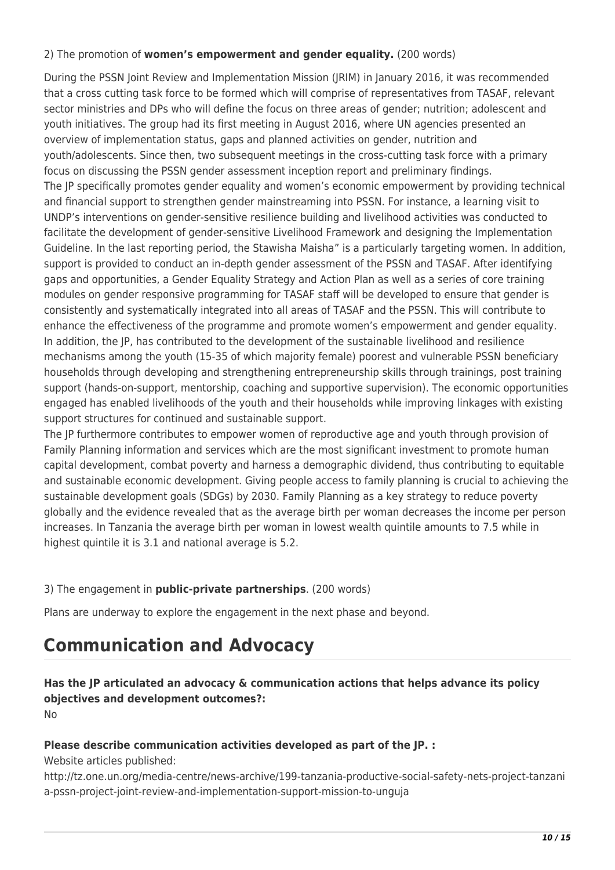#### 2) The promotion of **women's empowerment and gender equality.** (200 words)

During the PSSN Joint Review and Implementation Mission (JRIM) in January 2016, it was recommended that a cross cutting task force to be formed which will comprise of representatives from TASAF, relevant sector ministries and DPs who will define the focus on three areas of gender; nutrition; adolescent and youth initiatives. The group had its first meeting in August 2016, where UN agencies presented an overview of implementation status, gaps and planned activities on gender, nutrition and youth/adolescents. Since then, two subsequent meetings in the cross-cutting task force with a primary focus on discussing the PSSN gender assessment inception report and preliminary findings. The JP specifically promotes gender equality and women's economic empowerment by providing technical and financial support to strengthen gender mainstreaming into PSSN. For instance, a learning visit to UNDP's interventions on gender-sensitive resilience building and livelihood activities was conducted to facilitate the development of gender-sensitive Livelihood Framework and designing the Implementation Guideline. In the last reporting period, the Stawisha Maisha" is a particularly targeting women. In addition, support is provided to conduct an in-depth gender assessment of the PSSN and TASAF. After identifying gaps and opportunities, a Gender Equality Strategy and Action Plan as well as a series of core training modules on gender responsive programming for TASAF staff will be developed to ensure that gender is consistently and systematically integrated into all areas of TASAF and the PSSN. This will contribute to enhance the effectiveness of the programme and promote women's empowerment and gender equality. In addition, the JP, has contributed to the development of the sustainable livelihood and resilience mechanisms among the youth (15-35 of which majority female) poorest and vulnerable PSSN beneficiary households through developing and strengthening entrepreneurship skills through trainings, post training support (hands-on-support, mentorship, coaching and supportive supervision). The economic opportunities engaged has enabled livelihoods of the youth and their households while improving linkages with existing support structures for continued and sustainable support.

The JP furthermore contributes to empower women of reproductive age and youth through provision of Family Planning information and services which are the most significant investment to promote human capital development, combat poverty and harness a demographic dividend, thus contributing to equitable and sustainable economic development. Giving people access to family planning is crucial to achieving the sustainable development goals (SDGs) by 2030. Family Planning as a key strategy to reduce poverty globally and the evidence revealed that as the average birth per woman decreases the income per person increases. In Tanzania the average birth per woman in lowest wealth quintile amounts to 7.5 while in highest quintile it is 3.1 and national average is 5.2.

#### 3) The engagement in **public-private partnerships**. (200 words)

Plans are underway to explore the engagement in the next phase and beyond.

## **Communication and Advocacy**

### **Has the JP articulated an advocacy & communication actions that helps advance its policy objectives and development outcomes?:**

No

#### **Please describe communication activities developed as part of the JP. :**

Website articles published:

http://tz.one.un.org/media-centre/news-archive/199-tanzania-productive-social-safety-nets-project-tanzani a-pssn-project-joint-review-and-implementation-support-mission-to-unguja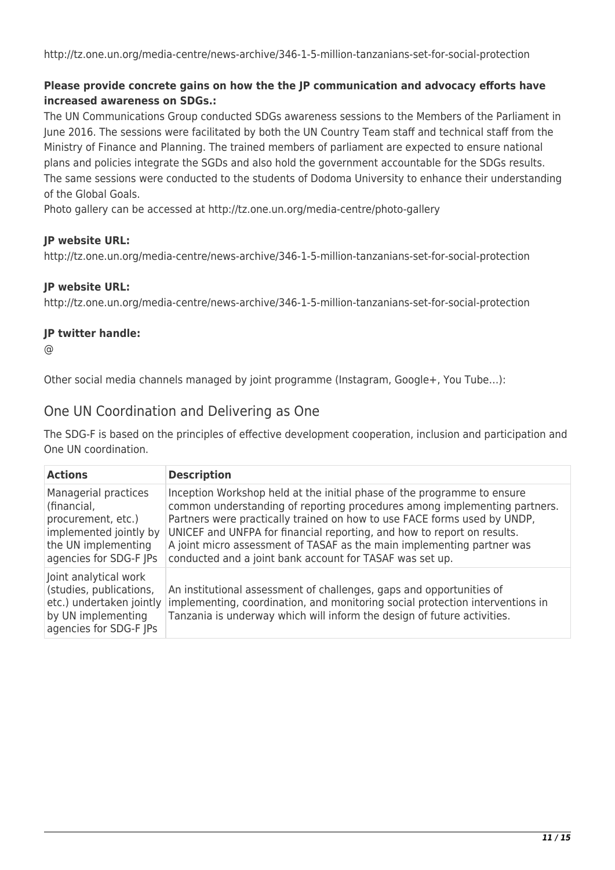http://tz.one.un.org/media-centre/news-archive/346-1-5-million-tanzanians-set-for-social-protection

#### **Please provide concrete gains on how the the JP communication and advocacy efforts have increased awareness on SDGs.:**

The UN Communications Group conducted SDGs awareness sessions to the Members of the Parliament in June 2016. The sessions were facilitated by both the UN Country Team staff and technical staff from the Ministry of Finance and Planning. The trained members of parliament are expected to ensure national plans and policies integrate the SGDs and also hold the government accountable for the SDGs results. The same sessions were conducted to the students of Dodoma University to enhance their understanding of the Global Goals.

Photo gallery can be accessed at http://tz.one.un.org/media-centre/photo-gallery

#### **JP website URL:**

http://tz.one.un.org/media-centre/news-archive/346-1-5-million-tanzanians-set-for-social-protection

#### **JP website URL:**

http://tz.one.un.org/media-centre/news-archive/346-1-5-million-tanzanians-set-for-social-protection

#### **JP twitter handle:**

@

Other social media channels managed by joint programme (Instagram, Google+, You Tube…):

#### One UN Coordination and Delivering as One

The SDG-F is based on the principles of effective development cooperation, inclusion and participation and One UN coordination.

| <b>Actions</b>                                                                                                                       | <b>Description</b>                                                                                                                                                                                                                                                                                                                                                                                                                                |
|--------------------------------------------------------------------------------------------------------------------------------------|---------------------------------------------------------------------------------------------------------------------------------------------------------------------------------------------------------------------------------------------------------------------------------------------------------------------------------------------------------------------------------------------------------------------------------------------------|
| Managerial practices<br>(financial,<br>procurement, etc.)<br>implemented jointly by<br>the UN implementing<br>agencies for SDG-F JPs | Inception Workshop held at the initial phase of the programme to ensure<br>common understanding of reporting procedures among implementing partners.<br>Partners were practically trained on how to use FACE forms used by UNDP,<br>UNICEF and UNFPA for financial reporting, and how to report on results.<br>A joint micro assessment of TASAF as the main implementing partner was<br>conducted and a joint bank account for TASAF was set up. |
| Joint analytical work<br>(studies, publications,<br>etc.) undertaken jointly<br>by UN implementing<br>agencies for SDG-F JPs         | An institutional assessment of challenges, gaps and opportunities of<br>implementing, coordination, and monitoring social protection interventions in<br>Tanzania is underway which will inform the design of future activities.                                                                                                                                                                                                                  |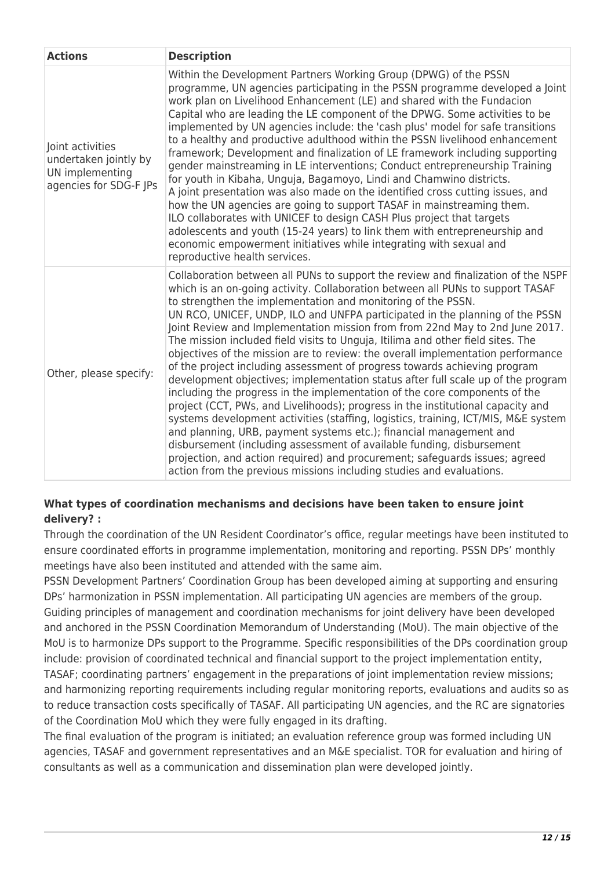| <b>Actions</b>                                                                         | <b>Description</b>                                                                                                                                                                                                                                                                                                                                                                                                                                                                                                                                                                                                                                                                                                                                                                                                                                                                                                                                                                                                                                                                                                                                                                                                                                                                                      |
|----------------------------------------------------------------------------------------|---------------------------------------------------------------------------------------------------------------------------------------------------------------------------------------------------------------------------------------------------------------------------------------------------------------------------------------------------------------------------------------------------------------------------------------------------------------------------------------------------------------------------------------------------------------------------------------------------------------------------------------------------------------------------------------------------------------------------------------------------------------------------------------------------------------------------------------------------------------------------------------------------------------------------------------------------------------------------------------------------------------------------------------------------------------------------------------------------------------------------------------------------------------------------------------------------------------------------------------------------------------------------------------------------------|
| Joint activities<br>undertaken jointly by<br>UN implementing<br>agencies for SDG-F JPs | Within the Development Partners Working Group (DPWG) of the PSSN<br>programme, UN agencies participating in the PSSN programme developed a Joint<br>work plan on Livelihood Enhancement (LE) and shared with the Fundacion<br>Capital who are leading the LE component of the DPWG. Some activities to be<br>implemented by UN agencies include: the 'cash plus' model for safe transitions<br>to a healthy and productive adulthood within the PSSN livelihood enhancement<br>framework; Development and finalization of LE framework including supporting<br>gender mainstreaming in LE interventions; Conduct entrepreneurship Training<br>for youth in Kibaha, Unguja, Bagamoyo, Lindi and Chamwino districts.<br>A joint presentation was also made on the identified cross cutting issues, and<br>how the UN agencies are going to support TASAF in mainstreaming them.<br>ILO collaborates with UNICEF to design CASH Plus project that targets<br>adolescents and youth (15-24 years) to link them with entrepreneurship and<br>economic empowerment initiatives while integrating with sexual and<br>reproductive health services.                                                                                                                                                             |
| Other, please specify:                                                                 | Collaboration between all PUNs to support the review and finalization of the NSPF<br>which is an on-going activity. Collaboration between all PUNs to support TASAF<br>to strengthen the implementation and monitoring of the PSSN.<br>UN RCO, UNICEF, UNDP, ILO and UNFPA participated in the planning of the PSSN<br>Joint Review and Implementation mission from from 22nd May to 2nd June 2017.<br>The mission included field visits to Unguja, Itilima and other field sites. The<br>objectives of the mission are to review: the overall implementation performance<br>of the project including assessment of progress towards achieving program<br>development objectives; implementation status after full scale up of the program<br>including the progress in the implementation of the core components of the<br>project (CCT, PWs, and Livelihoods); progress in the institutional capacity and<br>systems development activities (staffing, logistics, training, ICT/MIS, M&E system<br>and planning, URB, payment systems etc.); financial management and<br>disbursement (including assessment of available funding, disbursement<br>projection, and action required) and procurement; safeguards issues; agreed<br>action from the previous missions including studies and evaluations. |

#### **What types of coordination mechanisms and decisions have been taken to ensure joint delivery? :**

Through the coordination of the UN Resident Coordinator's office, regular meetings have been instituted to ensure coordinated efforts in programme implementation, monitoring and reporting. PSSN DPs' monthly meetings have also been instituted and attended with the same aim.

PSSN Development Partners' Coordination Group has been developed aiming at supporting and ensuring DPs' harmonization in PSSN implementation. All participating UN agencies are members of the group. Guiding principles of management and coordination mechanisms for joint delivery have been developed and anchored in the PSSN Coordination Memorandum of Understanding (MoU). The main objective of the MoU is to harmonize DPs support to the Programme. Specific responsibilities of the DPs coordination group include: provision of coordinated technical and financial support to the project implementation entity, TASAF; coordinating partners' engagement in the preparations of joint implementation review missions; and harmonizing reporting requirements including regular monitoring reports, evaluations and audits so as to reduce transaction costs specifically of TASAF. All participating UN agencies, and the RC are signatories of the Coordination MoU which they were fully engaged in its drafting.

The final evaluation of the program is initiated; an evaluation reference group was formed including UN agencies, TASAF and government representatives and an M&E specialist. TOR for evaluation and hiring of consultants as well as a communication and dissemination plan were developed jointly.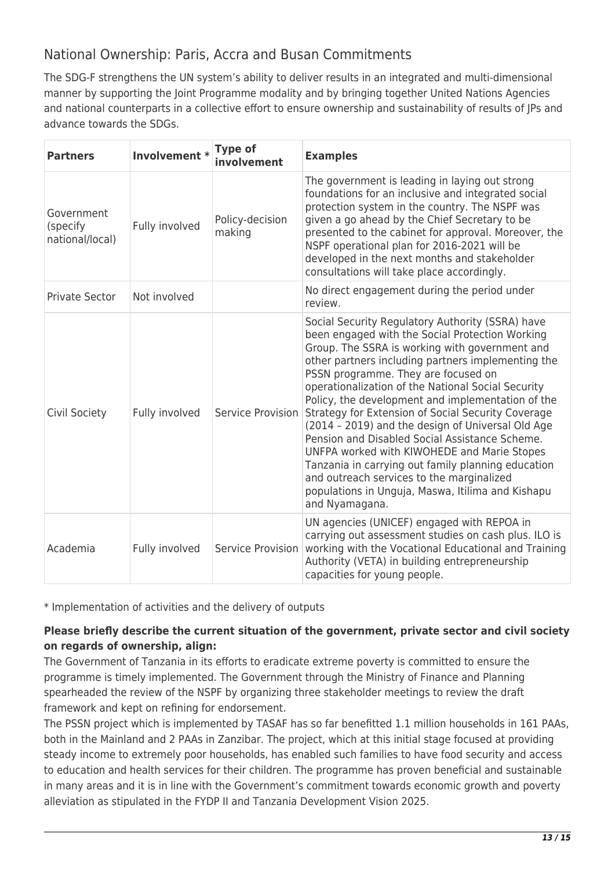### National Ownership: Paris, Accra and Busan Commitments

The SDG-F strengthens the UN system's ability to deliver results in an integrated and multi-dimensional manner by supporting the Joint Programme modality and by bringing together United Nations Agencies and national counterparts in a collective effort to ensure ownership and sustainability of results of JPs and advance towards the SDGs.

| <b>Partners</b>                           | Involvement *  | <b>Type of</b><br>involvement | <b>Examples</b>                                                                                                                                                                                                                                                                                                                                                                                                                                                                                                                                                                                                                                                                                                                                     |
|-------------------------------------------|----------------|-------------------------------|-----------------------------------------------------------------------------------------------------------------------------------------------------------------------------------------------------------------------------------------------------------------------------------------------------------------------------------------------------------------------------------------------------------------------------------------------------------------------------------------------------------------------------------------------------------------------------------------------------------------------------------------------------------------------------------------------------------------------------------------------------|
| Government<br>(specify<br>national/local) | Fully involved | Policy-decision<br>making     | The government is leading in laying out strong<br>foundations for an inclusive and integrated social<br>protection system in the country. The NSPF was<br>given a go ahead by the Chief Secretary to be<br>presented to the cabinet for approval. Moreover, the<br>NSPF operational plan for 2016-2021 will be<br>developed in the next months and stakeholder<br>consultations will take place accordingly.                                                                                                                                                                                                                                                                                                                                        |
| Private Sector                            | Not involved   |                               | No direct engagement during the period under<br>review.                                                                                                                                                                                                                                                                                                                                                                                                                                                                                                                                                                                                                                                                                             |
| Civil Society                             | Fully involved | Service Provision             | Social Security Regulatory Authority (SSRA) have<br>been engaged with the Social Protection Working<br>Group. The SSRA is working with government and<br>other partners including partners implementing the<br>PSSN programme. They are focused on<br>operationalization of the National Social Security<br>Policy, the development and implementation of the<br>Strategy for Extension of Social Security Coverage<br>(2014 - 2019) and the design of Universal Old Age<br>Pension and Disabled Social Assistance Scheme.<br>UNFPA worked with KIWOHEDE and Marie Stopes<br>Tanzania in carrying out family planning education<br>and outreach services to the marginalized<br>populations in Unguja, Maswa, Itilima and Kishapu<br>and Nyamagana. |
| Academia                                  | Fully involved | Service Provision             | UN agencies (UNICEF) engaged with REPOA in<br>carrying out assessment studies on cash plus. ILO is<br>working with the Vocational Educational and Training<br>Authority (VETA) in building entrepreneurship<br>capacities for young people.                                                                                                                                                                                                                                                                                                                                                                                                                                                                                                         |

\* Implementation of activities and the delivery of outputs

#### **Please briefly describe the current situation of the government, private sector and civil society on regards of ownership, align:**

The Government of Tanzania in its efforts to eradicate extreme poverty is committed to ensure the programme is timely implemented. The Government through the Ministry of Finance and Planning spearheaded the review of the NSPF by organizing three stakeholder meetings to review the draft framework and kept on refining for endorsement.

The PSSN project which is implemented by TASAF has so far benefitted 1.1 million households in 161 PAAs, both in the Mainland and 2 PAAs in Zanzibar. The project, which at this initial stage focused at providing steady income to extremely poor households, has enabled such families to have food security and access to education and health services for their children. The programme has proven beneficial and sustainable in many areas and it is in line with the Government's commitment towards economic growth and poverty alleviation as stipulated in the FYDP II and Tanzania Development Vision 2025.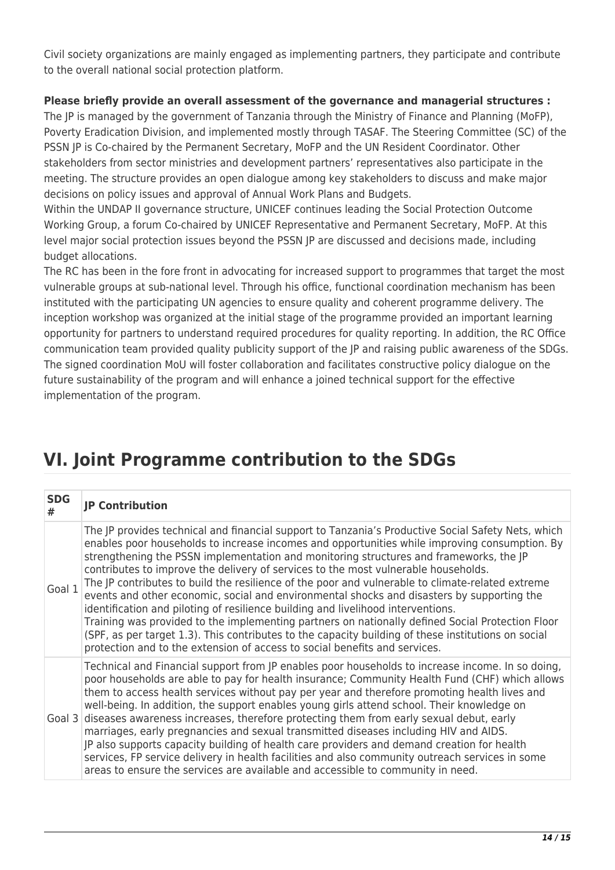Civil society organizations are mainly engaged as implementing partners, they participate and contribute to the overall national social protection platform.

#### **Please briefly provide an overall assessment of the governance and managerial structures :**

The JP is managed by the government of Tanzania through the Ministry of Finance and Planning (MoFP), Poverty Eradication Division, and implemented mostly through TASAF. The Steering Committee (SC) of the PSSN JP is Co-chaired by the Permanent Secretary, MoFP and the UN Resident Coordinator. Other stakeholders from sector ministries and development partners' representatives also participate in the meeting. The structure provides an open dialogue among key stakeholders to discuss and make major decisions on policy issues and approval of Annual Work Plans and Budgets.

Within the UNDAP II governance structure, UNICEF continues leading the Social Protection Outcome Working Group, a forum Co-chaired by UNICEF Representative and Permanent Secretary, MoFP. At this level major social protection issues beyond the PSSN JP are discussed and decisions made, including budget allocations.

The RC has been in the fore front in advocating for increased support to programmes that target the most vulnerable groups at sub-national level. Through his office, functional coordination mechanism has been instituted with the participating UN agencies to ensure quality and coherent programme delivery. The inception workshop was organized at the initial stage of the programme provided an important learning opportunity for partners to understand required procedures for quality reporting. In addition, the RC Office communication team provided quality publicity support of the JP and raising public awareness of the SDGs. The signed coordination MoU will foster collaboration and facilitates constructive policy dialogue on the future sustainability of the program and will enhance a joined technical support for the effective implementation of the program.

# **VI. Joint Programme contribution to the SDGs**

| <b>SDG</b><br># | <b>JP Contribution</b>                                                                                                                                                                                                                                                                                                                                                                                                                                                                                                                                                                                                                                                                                                                                                                                                                                                                                                                                             |
|-----------------|--------------------------------------------------------------------------------------------------------------------------------------------------------------------------------------------------------------------------------------------------------------------------------------------------------------------------------------------------------------------------------------------------------------------------------------------------------------------------------------------------------------------------------------------------------------------------------------------------------------------------------------------------------------------------------------------------------------------------------------------------------------------------------------------------------------------------------------------------------------------------------------------------------------------------------------------------------------------|
| Goal 1          | The JP provides technical and financial support to Tanzania's Productive Social Safety Nets, which<br>enables poor households to increase incomes and opportunities while improving consumption. By<br>strengthening the PSSN implementation and monitoring structures and frameworks, the JP<br>contributes to improve the delivery of services to the most vulnerable households.<br>The JP contributes to build the resilience of the poor and vulnerable to climate-related extreme<br>events and other economic, social and environmental shocks and disasters by supporting the<br>identification and piloting of resilience building and livelihood interventions.<br>Training was provided to the implementing partners on nationally defined Social Protection Floor<br>(SPF, as per target 1.3). This contributes to the capacity building of these institutions on social<br>protection and to the extension of access to social benefits and services. |
|                 | Technical and Financial support from JP enables poor households to increase income. In so doing,<br>poor households are able to pay for health insurance; Community Health Fund (CHF) which allows<br>them to access health services without pay per year and therefore promoting health lives and<br>well-being. In addition, the support enables young girls attend school. Their knowledge on<br>Goal 3 diseases awareness increases, therefore protecting them from early sexual debut, early<br>marriages, early pregnancies and sexual transmitted diseases including HIV and AIDS.<br>JP also supports capacity building of health care providers and demand creation for health<br>services, FP service delivery in health facilities and also community outreach services in some<br>areas to ensure the services are available and accessible to community in need.                                                                                      |